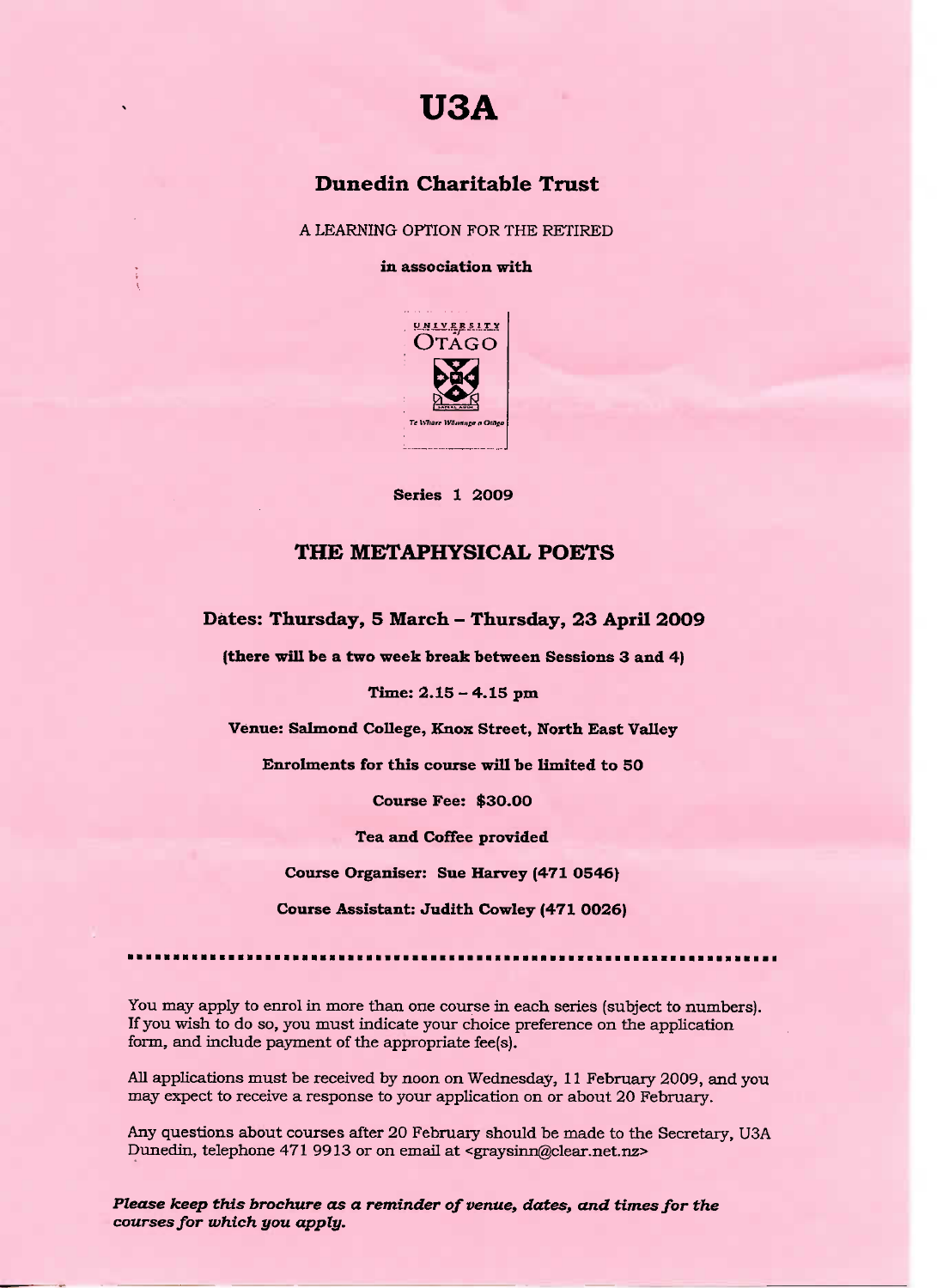

## **Dunedin Charitable Trust**

A LEARNING OPTION FOR THE RETIRED

**in association with**



**Series 1 2009**

## **THE METAPHYSICAL POETS**

**Dates: Thursday, 5 March - Thursday, 23 April 2OO9**

**(there will be a two week break between Sessions 3 and 4)**

**Time: 2.15 - 4.15 pm**

**Venue: Salmond College, Knox Street, North East Valley**

**Enrolments for this course will be limited to 50**

**Course Fee: \$30.00**

**Tea and Coffee provided**

**Course Organiser: Sue Harvey (471 0546}**

**Course Assistant: Judith Cowley (471 0026)**

You may apply to enrol in more than one course in each series (subject to numbers). If you wish to do so, you must indicate your choice preference on the application form, and include payment of the appropriate fee(s).

All applications must be received by noon on Wednesday, 11 February 2009, and you may expect to receive a response to your application on or about 20 February.

Any questions about courses after 20 February should be made to the Secretary, USA Dunedin, telephone 471 9913 or on email at <graysinn@clear.net.nz>

*Please keep this brochure as* **a** *reminder of venue,* **dates,** *and times for the courses for which you apply.*